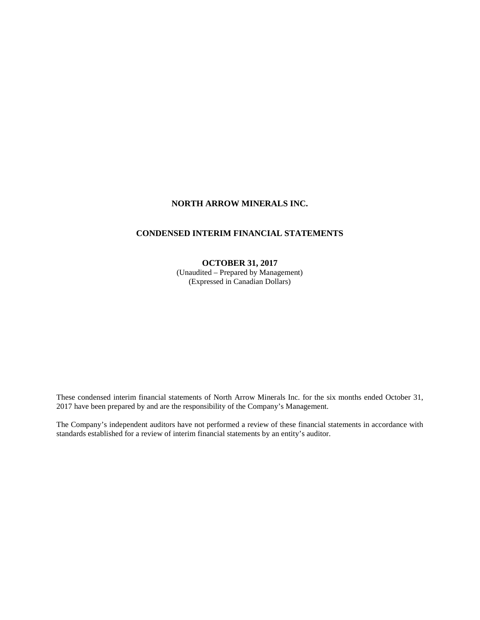# **NORTH ARROW MINERALS INC.**

# **CONDENSED INTERIM FINANCIAL STATEMENTS**

### **OCTOBER 31, 2017**

(Unaudited – Prepared by Management) (Expressed in Canadian Dollars)

These condensed interim financial statements of North Arrow Minerals Inc. for the six months ended October 31, 2017 have been prepared by and are the responsibility of the Company's Management.

The Company's independent auditors have not performed a review of these financial statements in accordance with standards established for a review of interim financial statements by an entity's auditor.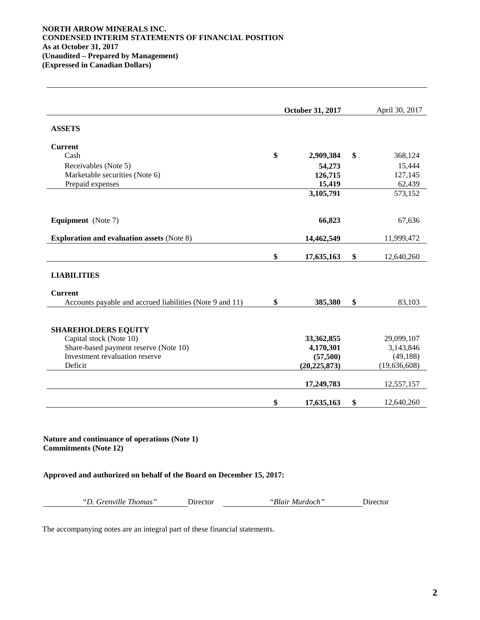### **NORTH ARROW MINERALS INC. CONDENSED INTERIM STATEMENTS OF FINANCIAL POSITION As at October 31, 2017 (Unaudited – Prepared by Management) (Expressed in Canadian Dollars)**

|                                                          | October 31, 2017 | April 30, 2017   |
|----------------------------------------------------------|------------------|------------------|
| <b>ASSETS</b>                                            |                  |                  |
| <b>Current</b>                                           |                  |                  |
| Cash                                                     | \$<br>2,909,384  | \$<br>368,124    |
| Receivables (Note 5)                                     | 54,273           | 15,444           |
| Marketable securities (Note 6)                           | 126,715          | 127,145          |
| Prepaid expenses                                         | 15,419           | 62,439           |
|                                                          | 3,105,791        | 573,152          |
| <b>Equipment</b> (Note 7)                                | 66,823           | 67,636           |
| <b>Exploration and evaluation assets (Note 8)</b>        | 14,462,549       | 11,999,472       |
|                                                          | \$<br>17,635,163 | \$<br>12,640,260 |
| <b>LIABILITIES</b>                                       |                  |                  |
| <b>Current</b>                                           |                  |                  |
| Accounts payable and accrued liabilities (Note 9 and 11) | \$<br>385,380    | \$<br>83,103     |
| <b>SHAREHOLDERS EQUITY</b>                               |                  |                  |
| Capital stock (Note 10)                                  | 33,362,855       | 29,099,107       |
| Share-based payment reserve (Note 10)                    | 4,170,301        | 3,143,846        |
| Investment revaluation reserve                           | (57,500)         | (49, 188)        |
| Deficit                                                  | (20, 225, 873)   | (19,636,608)     |
|                                                          | 17,249,783       | 12,557,157       |
|                                                          | \$<br>17,635,163 | \$<br>12,640,260 |

**Nature and continuance of operations (Note 1) Commitments (Note 12)**

**Approved and authorized on behalf of the Board on December 15, 2017:**

*"D. Grenville Thomas"* Director *"Blair Murdoch"* Director

The accompanying notes are an integral part of these financial statements.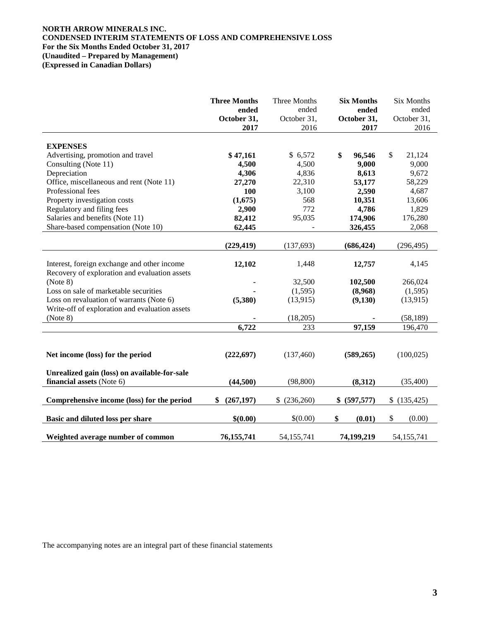### **NORTH ARROW MINERALS INC. CONDENSED INTERIM STATEMENTS OF LOSS AND COMPREHENSIVE LOSS For the Six Months Ended October 31, 2017 (Unaudited – Prepared by Management) (Expressed in Canadian Dollars)**

|                                                | <b>Three Months</b> | Three Months        | <b>Six Months</b>   | <b>Six Months</b> |
|------------------------------------------------|---------------------|---------------------|---------------------|-------------------|
|                                                | ended               | ended               | ended               | ended             |
|                                                | October 31,<br>2017 | October 31,<br>2016 | October 31,<br>2017 | October 31,       |
|                                                |                     |                     |                     | 2016              |
| <b>EXPENSES</b>                                |                     |                     |                     |                   |
| Advertising, promotion and travel              | \$47,161            | \$6,572             | \$<br>96,546        | \$<br>21,124      |
| Consulting (Note 11)                           | 4,500               | 4,500               | 9,000               | 9,000             |
| Depreciation                                   | 4,306               | 4,836               | 8,613               | 9,672             |
| Office, miscellaneous and rent (Note 11)       | 27,270              | 22,310              | 53,177              | 58,229            |
| Professional fees                              | 100                 | 3,100               | 2,590               | 4,687             |
| Property investigation costs                   | (1,675)             | 568                 | 10,351              | 13,606            |
| Regulatory and filing fees                     | 2,900               | 772                 | 4,786               | 1,829             |
| Salaries and benefits (Note 11)                | 82,412              | 95,035              | 174,906             | 176,280           |
| Share-based compensation (Note 10)             | 62,445              | $\blacksquare$      | 326,455             | 2,068             |
|                                                |                     |                     |                     |                   |
|                                                | (229, 419)          | (137, 693)          | (686, 424)          | (296, 495)        |
|                                                |                     |                     |                     |                   |
| Interest, foreign exchange and other income    | 12,102              | 1,448               | 12,757              | 4,145             |
| Recovery of exploration and evaluation assets  |                     |                     |                     |                   |
| (Note 8)                                       |                     | 32,500              | 102,500             | 266,024           |
| Loss on sale of marketable securities          |                     | (1,595)             | (8,968)             | (1,595)           |
| Loss on revaluation of warrants (Note 6)       | (5,380)             | (13,915)            | (9,130)             | (13, 915)         |
| Write-off of exploration and evaluation assets |                     |                     |                     |                   |
| (Note 8)                                       |                     | (18,205)            |                     | (58, 189)         |
|                                                | 6,722               | 233                 | 97,159              | 196,470           |
|                                                |                     |                     |                     |                   |
|                                                |                     |                     |                     |                   |
| Net income (loss) for the period               | (222, 697)          | (137,460)           | (589, 265)          | (100, 025)        |
|                                                |                     |                     |                     |                   |
| Unrealized gain (loss) on available-for-sale   |                     |                     |                     |                   |
| financial assets (Note 6)                      | (44,500)            | (98, 800)           | (8,312)             | (35,400)          |
|                                                |                     |                     |                     |                   |
| Comprehensive income (loss) for the period     | \$<br>(267, 197)    | \$<br>(236,260)     | \$ (597,577)        | \$(135, 425)      |
|                                                |                     |                     |                     |                   |
| Basic and diluted loss per share               | \$(0.00)            | \$(0.00)            | \$<br>(0.01)        | $\$\,$<br>(0.00)  |
|                                                |                     |                     |                     |                   |
| Weighted average number of common              | 76,155,741          | 54,155,741          | 74,199,219          | 54,155,741        |

The accompanying notes are an integral part of these financial statements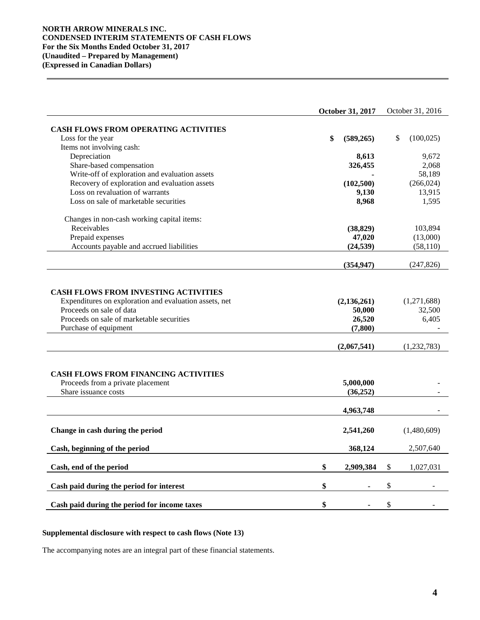### **NORTH ARROW MINERALS INC. CONDENSED INTERIM STATEMENTS OF CASH FLOWS For the Six Months Ended October 31, 2017 (Unaudited – Prepared by Management) (Expressed in Canadian Dollars)**

|                                                                                                                                                                                                         | October 31, 2017                              | October 31, 2016               |
|---------------------------------------------------------------------------------------------------------------------------------------------------------------------------------------------------------|-----------------------------------------------|--------------------------------|
|                                                                                                                                                                                                         |                                               |                                |
| <b>CASH FLOWS FROM OPERATING ACTIVITIES</b><br>Loss for the year                                                                                                                                        | \$<br>(589, 265)                              | \$<br>(100, 025)               |
| Items not involving cash:                                                                                                                                                                               |                                               |                                |
| Depreciation                                                                                                                                                                                            | 8,613                                         | 9,672                          |
| Share-based compensation                                                                                                                                                                                | 326,455                                       | 2,068                          |
| Write-off of exploration and evaluation assets                                                                                                                                                          |                                               | 58,189                         |
| Recovery of exploration and evaluation assets                                                                                                                                                           | (102, 500)                                    | (266, 024)                     |
| Loss on revaluation of warrants                                                                                                                                                                         | 9,130                                         | 13,915                         |
| Loss on sale of marketable securities                                                                                                                                                                   | 8,968                                         | 1,595                          |
|                                                                                                                                                                                                         |                                               |                                |
| Changes in non-cash working capital items:                                                                                                                                                              |                                               |                                |
| Receivables                                                                                                                                                                                             | (38, 829)                                     | 103,894                        |
| Prepaid expenses                                                                                                                                                                                        | 47,020                                        | (13,000)                       |
| Accounts payable and accrued liabilities                                                                                                                                                                | (24, 539)                                     | (58, 110)                      |
|                                                                                                                                                                                                         | (354, 947)                                    | (247, 826)                     |
|                                                                                                                                                                                                         |                                               |                                |
| <b>CASH FLOWS FROM INVESTING ACTIVITIES</b><br>Expenditures on exploration and evaluation assets, net<br>Proceeds on sale of data<br>Proceeds on sale of marketable securities<br>Purchase of equipment | (2, 136, 261)<br>50,000<br>26,520<br>(7, 800) | (1,271,688)<br>32,500<br>6,405 |
|                                                                                                                                                                                                         | (2,067,541)                                   | (1, 232, 783)                  |
| <b>CASH FLOWS FROM FINANCING ACTIVITIES</b><br>Proceeds from a private placement<br>Share issuance costs                                                                                                | 5,000,000<br>(36, 252)                        |                                |
|                                                                                                                                                                                                         | 4,963,748                                     |                                |
| Change in cash during the period                                                                                                                                                                        | 2,541,260                                     | (1,480,609)                    |
| Cash, beginning of the period                                                                                                                                                                           | 368,124                                       | 2,507,640                      |
| Cash, end of the period                                                                                                                                                                                 | \$<br>2,909,384                               | \$<br>1,027,031                |
|                                                                                                                                                                                                         |                                               |                                |
| Cash paid during the period for interest                                                                                                                                                                | \$                                            | \$                             |
| Cash paid during the period for income taxes                                                                                                                                                            | \$                                            | \$                             |

### **Supplemental disclosure with respect to cash flows (Note 13)**

The accompanying notes are an integral part of these financial statements.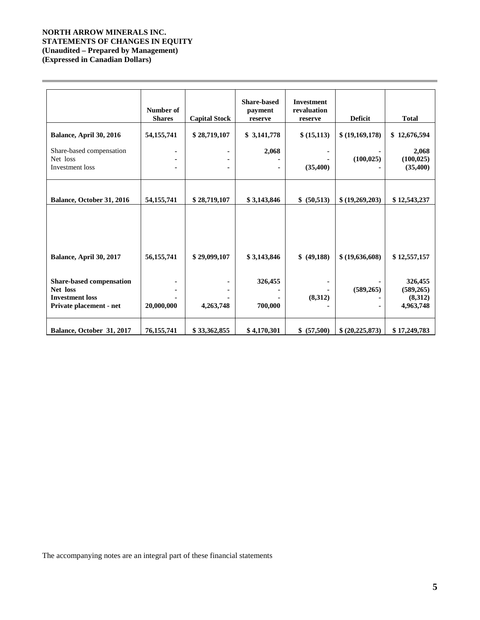## **NORTH ARROW MINERALS INC. STATEMENTS OF CHANGES IN EQUITY (Unaudited – Prepared by Management) (Expressed in Canadian Dollars)**

|                                                                                           | Number of<br><b>Shares</b> | <b>Capital Stock</b> | <b>Share-based</b><br>payment<br>reserve | <b>Investment</b><br>revaluation<br>reserve | <b>Deficit</b>  | <b>Total</b>                                  |
|-------------------------------------------------------------------------------------------|----------------------------|----------------------|------------------------------------------|---------------------------------------------|-----------------|-----------------------------------------------|
| Balance, April 30, 2016                                                                   | 54, 155, 741               | \$28,719,107         | \$3,141,778                              | \$ (15,113)                                 | \$(19,169,178)  | \$12,676,594                                  |
| Share-based compensation<br>Net loss<br>Investment loss                                   |                            |                      | 2,068                                    | (35,400)                                    | (100, 025)      | 2,068<br>(100, 025)<br>(35,400)               |
| Balance, October 31, 2016                                                                 | 54, 155, 741               | \$28,719,107         | \$3,143,846                              | \$ (50,513)                                 | \$ (19,269,203) | \$12,543,237                                  |
|                                                                                           |                            |                      |                                          |                                             |                 |                                               |
|                                                                                           |                            |                      |                                          |                                             |                 |                                               |
| Balance, April 30, 2017                                                                   | 56, 155, 741               | \$29,099,107         | \$3,143,846                              | \$ (49,188)                                 | \$ (19,636,608) | \$12,557,157                                  |
| Share-based compensation<br>Net loss<br><b>Investment</b> loss<br>Private placement - net | 20,000,000                 | 4,263,748            | 326,455<br>700,000                       | (8,312)                                     | (589, 265)      | 326,455<br>(589, 265)<br>(8,312)<br>4,963,748 |
| Balance, October 31, 2017                                                                 | 76,155,741                 | \$33,362,855         | \$4,170,301                              | \$ (57,500)                                 | \$ (20,225,873) | \$17,249,783                                  |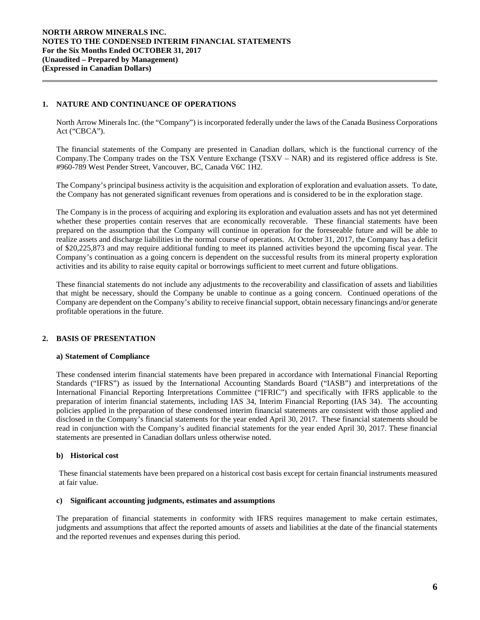### **1. NATURE AND CONTINUANCE OF OPERATIONS**

North Arrow Minerals Inc. (the "Company") is incorporated federally under the laws of the Canada Business Corporations Act ("CBCA").

The financial statements of the Company are presented in Canadian dollars, which is the functional currency of the Company.The Company trades on the TSX Venture Exchange (TSXV – NAR) and its registered office address is Ste. #960-789 West Pender Street, Vancouver, BC, Canada V6C 1H2.

The Company's principal business activity is the acquisition and exploration of exploration and evaluation assets. To date, the Company has not generated significant revenues from operations and is considered to be in the exploration stage.

The Company is in the process of acquiring and exploring its exploration and evaluation assets and has not yet determined whether these properties contain reserves that are economically recoverable. These financial statements have been prepared on the assumption that the Company will continue in operation for the foreseeable future and will be able to realize assets and discharge liabilities in the normal course of operations. At October 31, 2017, the Company has a deficit of \$20,225,873 and may require additional funding to meet its planned activities beyond the upcoming fiscal year. The Company's continuation as a going concern is dependent on the successful results from its mineral property exploration activities and its ability to raise equity capital or borrowings sufficient to meet current and future obligations.

These financial statements do not include any adjustments to the recoverability and classification of assets and liabilities that might be necessary, should the Company be unable to continue as a going concern. Continued operations of the Company are dependent on the Company's ability to receive financial support, obtain necessary financings and/or generate profitable operations in the future.

### **2. BASIS OF PRESENTATION**

### **a) Statement of Compliance**

These condensed interim financial statements have been prepared in accordance with International Financial Reporting Standards ("IFRS") as issued by the International Accounting Standards Board ("IASB") and interpretations of the International Financial Reporting Interpretations Committee ("IFRIC") and specifically with IFRS applicable to the preparation of interim financial statements, including IAS 34, Interim Financial Reporting (IAS 34). The accounting policies applied in the preparation of these condensed interim financial statements are consistent with those applied and disclosed in the Company's financial statements for the year ended April 30, 2017. These financial statements should be read in conjunction with the Company's audited financial statements for the year ended April 30, 2017. These financial statements are presented in Canadian dollars unless otherwise noted.

#### **b) Historical cost**

These financial statements have been prepared on a historical cost basis except for certain financial instruments measured at fair value.

### **c) Significant accounting judgments, estimates and assumptions**

The preparation of financial statements in conformity with IFRS requires management to make certain estimates, judgments and assumptions that affect the reported amounts of assets and liabilities at the date of the financial statements and the reported revenues and expenses during this period.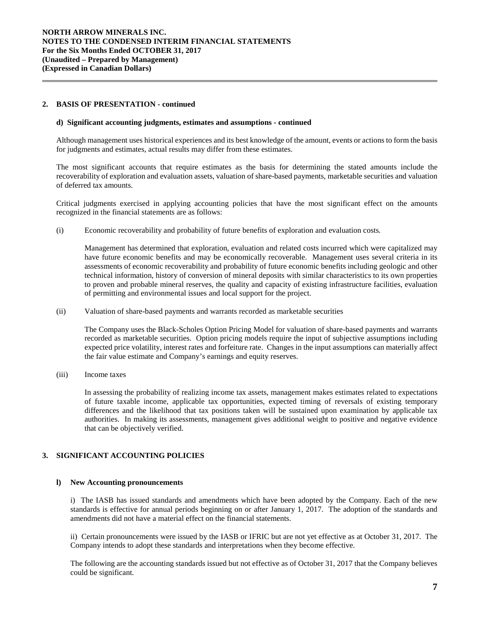### **2. BASIS OF PRESENTATION - continued**

#### **d) Significant accounting judgments, estimates and assumptions** *-* **continued**

Although management uses historical experiences and its best knowledge of the amount, events or actions to form the basis for judgments and estimates, actual results may differ from these estimates.

The most significant accounts that require estimates as the basis for determining the stated amounts include the recoverability of exploration and evaluation assets, valuation of share-based payments, marketable securities and valuation of deferred tax amounts.

Critical judgments exercised in applying accounting policies that have the most significant effect on the amounts recognized in the financial statements are as follows:

(i) Economic recoverability and probability of future benefits of exploration and evaluation costs*.* 

Management has determined that exploration, evaluation and related costs incurred which were capitalized may have future economic benefits and may be economically recoverable. Management uses several criteria in its assessments of economic recoverability and probability of future economic benefits including geologic and other technical information, history of conversion of mineral deposits with similar characteristics to its own properties to proven and probable mineral reserves, the quality and capacity of existing infrastructure facilities, evaluation of permitting and environmental issues and local support for the project.

(ii) Valuation of share-based payments and warrants recorded as marketable securities

The Company uses the Black-Scholes Option Pricing Model for valuation of share-based payments and warrants recorded as marketable securities. Option pricing models require the input of subjective assumptions including expected price volatility, interest rates and forfeiture rate. Changes in the input assumptions can materially affect the fair value estimate and Company's earnings and equity reserves.

(iii) Income taxes

In assessing the probability of realizing income tax assets, management makes estimates related to expectations of future taxable income, applicable tax opportunities, expected timing of reversals of existing temporary differences and the likelihood that tax positions taken will be sustained upon examination by applicable tax authorities. In making its assessments, management gives additional weight to positive and negative evidence that can be objectively verified.

### **3. SIGNIFICANT ACCOUNTING POLICIES**

#### **l) New Accounting pronouncements**

i) The IASB has issued standards and amendments which have been adopted by the Company. Each of the new standards is effective for annual periods beginning on or after January 1, 2017. The adoption of the standards and amendments did not have a material effect on the financial statements.

ii) Certain pronouncements were issued by the IASB or IFRIC but are not yet effective as at October 31, 2017. The Company intends to adopt these standards and interpretations when they become effective.

The following are the accounting standards issued but not effective as of October 31, 2017 that the Company believes could be significant.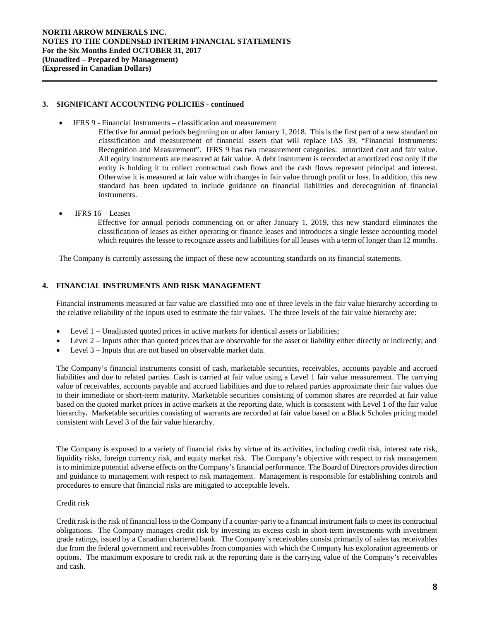### **3. SIGNIFICANT ACCOUNTING POLICIES - continued**

- IFRS 9 Financial Instruments classification and measurement
	- Effective for annual periods beginning on or after January 1, 2018. This is the first part of a new standard on classification and measurement of financial assets that will replace IAS 39, "Financial Instruments: Recognition and Measurement". IFRS 9 has two measurement categories: amortized cost and fair value. All equity instruments are measured at fair value. A debt instrument is recorded at amortized cost only if the entity is holding it to collect contractual cash flows and the cash flows represent principal and interest. Otherwise it is measured at fair value with changes in fair value through profit or loss. In addition, this new standard has been updated to include guidance on financial liabilities and derecognition of financial instruments.
	- IFRS  $16$  Leases

Effective for annual periods commencing on or after January 1, 2019, this new standard eliminates the classification of leases as either operating or finance leases and introduces a single lessee accounting model which requires the lessee to recognize assets and liabilities for all leases with a term of longer than 12 months.

The Company is currently assessing the impact of these new accounting standards on its financial statements.

### **4. FINANCIAL INSTRUMENTS AND RISK MANAGEMENT**

Financial instruments measured at fair value are classified into one of three levels in the fair value hierarchy according to the relative reliability of the inputs used to estimate the fair values. The three levels of the fair value hierarchy are:

- Level 1 Unadjusted quoted prices in active markets for identical assets or liabilities;
- Level 2 Inputs other than quoted prices that are observable for the asset or liability either directly or indirectly; and
- Level 3 Inputs that are not based on observable market data.

The Company's financial instruments consist of cash, marketable securities, receivables, accounts payable and accrued liabilities and due to related parties. Cash is carried at fair value using a Level 1 fair value measurement. The carrying value of receivables, accounts payable and accrued liabilities and due to related parties approximate their fair values due to their immediate or short-term maturity. Marketable securities consisting of common shares are recorded at fair value based on the quoted market prices in active markets at the reporting date, which is consistent with Level 1 of the fair value hierarchy**.** Marketable securities consisting of warrants are recorded at fair value based on a Black Scholes pricing model consistent with Level 3 of the fair value hierarchy.

The Company is exposed to a variety of financial risks by virtue of its activities, including credit risk, interest rate risk, liquidity risks, foreign currency risk, and equity market risk. The Company's objective with respect to risk management is to minimize potential adverse effects on the Company's financial performance. The Board of Directors provides direction and guidance to management with respect to risk management. Management is responsible for establishing controls and procedures to ensure that financial risks are mitigated to acceptable levels.

### Credit risk

Credit risk is the risk of financial loss to the Company if a counter-party to a financial instrument fails to meet its contractual obligations. The Company manages credit risk by investing its excess cash in short-term investments with investment grade ratings, issued by a Canadian chartered bank. The Company's receivables consist primarily of sales tax receivables due from the federal government and receivables from companies with which the Company has exploration agreements or options. The maximum exposure to credit risk at the reporting date is the carrying value of the Company's receivables and cash.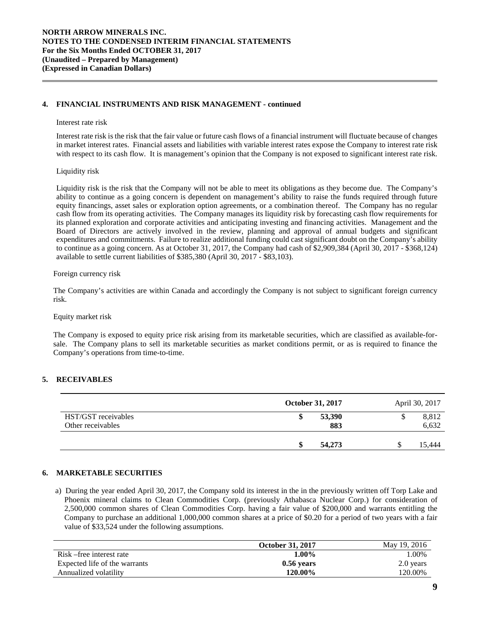### **4. FINANCIAL INSTRUMENTS AND RISK MANAGEMENT - continued**

#### Interest rate risk

Interest rate risk is the risk that the fair value or future cash flows of a financial instrument will fluctuate because of changes in market interest rates. Financial assets and liabilities with variable interest rates expose the Company to interest rate risk with respect to its cash flow. It is management's opinion that the Company is not exposed to significant interest rate risk.

#### Liquidity risk

Liquidity risk is the risk that the Company will not be able to meet its obligations as they become due. The Company's ability to continue as a going concern is dependent on management's ability to raise the funds required through future equity financings, asset sales or exploration option agreements, or a combination thereof. The Company has no regular cash flow from its operating activities. The Company manages its liquidity risk by forecasting cash flow requirements for its planned exploration and corporate activities and anticipating investing and financing activities. Management and the Board of Directors are actively involved in the review, planning and approval of annual budgets and significant expenditures and commitments. Failure to realize additional funding could cast significant doubt on the Company's ability to continue as a going concern. As at October 31, 2017, the Company had cash of \$2,909,384 (April 30, 2017 - \$368,124) available to settle current liabilities of \$385,380 (April 30, 2017 - \$83,103).

#### Foreign currency risk

The Company's activities are within Canada and accordingly the Company is not subject to significant foreign currency risk.

#### Equity market risk

The Company is exposed to equity price risk arising from its marketable securities, which are classified as available-forsale. The Company plans to sell its marketable securities as market conditions permit, or as is required to finance the Company's operations from time-to-time.

### **5. RECEIVABLES**

|                                          | October 31, 2017 | April 30, 2017 |
|------------------------------------------|------------------|----------------|
| HST/GST receivables<br>Other receivables | 53,390<br>883    | 8,812<br>6,632 |
|                                          | 54,273           | 15.444         |

### **6. MARKETABLE SECURITIES**

a) During the year ended April 30, 2017, the Company sold its interest in the in the previously written off Torp Lake and Phoenix mineral claims to Clean Commodities Corp. (previously Athabasca Nuclear Corp.) for consideration of 2,500,000 common shares of Clean Commodities Corp. having a fair value of \$200,000 and warrants entitling the Company to purchase an additional 1,000,000 common shares at a price of \$0.20 for a period of two years with a fair value of \$33,524 under the following assumptions.

|                               | <b>October 31, 2017</b> | May 19, 2016 |
|-------------------------------|-------------------------|--------------|
| Risk – free interest rate     | $1.00\%$                | .00%         |
| Expected life of the warrants | $0.56$ vears            | 2.0 years    |
| Annualized volatility         | 120.00%                 | 120.00%      |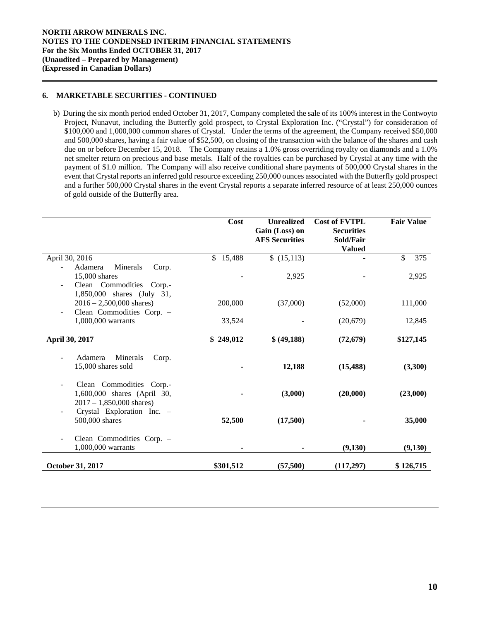### **6. MARKETABLE SECURITIES - CONTINUED**

b) During the six month period ended October 31, 2017, Company completed the sale of its 100% interest in the Contwoyto Project, Nunavut, including the Butterfly gold prospect, to Crystal Exploration Inc. ("Crystal") for consideration of \$100,000 and 1,000,000 common shares of Crystal. Under the terms of the agreement, the Company received \$50,000 and 500,000 shares, having a fair value of \$52,500, on closing of the transaction with the balance of the shares and cash due on or before December 15, 2018. The Company retains a 1.0% gross overriding royalty on diamonds and a 1.0% net smelter return on precious and base metals. Half of the royalties can be purchased by Crystal at any time with the payment of \$1.0 million. The Company will also receive conditional share payments of 500,000 Crystal shares in the event that Crystal reports an inferred gold resource exceeding 250,000 ounces associated with the Butterfly gold prospect and a further 500,000 Crystal shares in the event Crystal reports a separate inferred resource of at least 250,000 ounces of gold outside of the Butterfly area.

|                                                                                                                                     | <b>Cost</b> | <b>Unrealized</b><br>Gain (Loss) on<br><b>AFS Securities</b> | <b>Cost of FVTPL</b><br><b>Securities</b><br>Sold/Fair<br><b>Valued</b> | <b>Fair Value</b> |
|-------------------------------------------------------------------------------------------------------------------------------------|-------------|--------------------------------------------------------------|-------------------------------------------------------------------------|-------------------|
| April 30, 2016                                                                                                                      | \$15,488    | \$(15,113)                                                   |                                                                         | 375<br>\$         |
| Adamera<br>Minerals<br>Corp.<br>15,000 shares<br>Clean Commodities Corp.-<br>$\overline{\phantom{m}}$<br>1,850,000 shares (July 31, |             | 2,925                                                        |                                                                         | 2,925             |
| $2016 - 2,500,000$ shares)                                                                                                          | 200,000     | (37,000)                                                     | (52,000)                                                                | 111,000           |
| Clean Commodities Corp. -<br>1,000,000 warrants                                                                                     | 33,524      |                                                              | (20,679)                                                                | 12,845            |
| April 30, 2017                                                                                                                      | \$249,012   | \$ (49,188)                                                  | (72, 679)                                                               | \$127,145         |
| Minerals<br>Adamera<br>Corp.<br>$\overline{\phantom{m}}$<br>15,000 shares sold                                                      |             | 12,188                                                       | (15, 488)                                                               | (3,300)           |
| Clean Commodities Corp.-<br>1,600,000 shares (April 30,<br>$2017 - 1,850,000$ shares)                                               |             | (3,000)                                                      | (20,000)                                                                | (23,000)          |
| Crystal Exploration Inc. -<br>500,000 shares                                                                                        | 52,500      | (17,500)                                                     |                                                                         | 35,000            |
| Clean Commodities Corp. -<br>1,000,000 warrants                                                                                     |             |                                                              | (9,130)                                                                 | (9,130)           |
| October 31, 2017                                                                                                                    | \$301,512   | (57,500)                                                     | (117,297)                                                               | \$126,715         |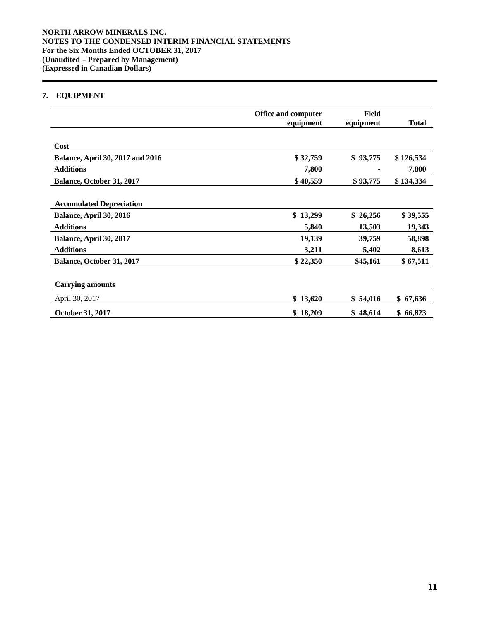# **7. EQUIPMENT**

|                                         | <b>Office and computer</b><br>equipment | Field<br>equipment | <b>Total</b> |
|-----------------------------------------|-----------------------------------------|--------------------|--------------|
|                                         |                                         |                    |              |
| Cost                                    |                                         |                    |              |
| <b>Balance, April 30, 2017 and 2016</b> | \$32,759                                | \$93,775           | \$126,534    |
| <b>Additions</b>                        | 7,800                                   |                    | 7,800        |
| Balance, October 31, 2017               | \$40,559                                | \$93,775           | \$134,334    |
|                                         |                                         |                    |              |
| <b>Accumulated Depreciation</b>         |                                         |                    |              |
| Balance, April 30, 2016                 | \$13,299                                | \$26,256           | \$39,555     |
| <b>Additions</b>                        | 5,840                                   | 13,503             | 19,343       |
| Balance, April 30, 2017                 | 19,139                                  | 39,759             | 58,898       |
| <b>Additions</b>                        | 3,211                                   | 5,402              | 8,613        |
| Balance, October 31, 2017               | \$22,350                                | \$45,161           | \$67,511     |
|                                         |                                         |                    |              |
| <b>Carrying amounts</b>                 |                                         |                    |              |
| April 30, 2017                          | \$13,620                                | \$54,016           | \$67,636     |
| October 31, 2017                        | \$18,209                                | \$48,614           | \$66,823     |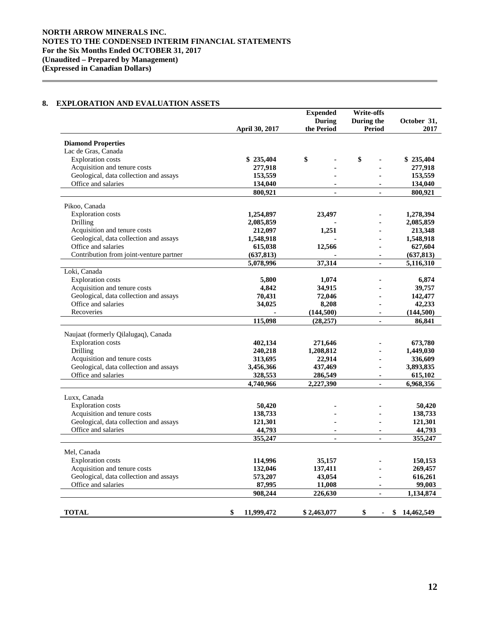## **8. EXPLORATION AND EVALUATION ASSETS**

|                                                  |                       | <b>Expended</b> | <b>Write-offs</b> |                  |
|--------------------------------------------------|-----------------------|-----------------|-------------------|------------------|
|                                                  |                       | During          | During the        | October 31,      |
|                                                  | <b>April 30, 2017</b> | the Period      | <b>Period</b>     | 2017             |
|                                                  |                       |                 |                   |                  |
| <b>Diamond Properties</b><br>Lac de Gras, Canada |                       |                 |                   |                  |
| <b>Exploration</b> costs                         | \$235,404             | \$              | \$                | \$235,404        |
| Acquisition and tenure costs                     | 277,918               |                 |                   | 277,918          |
| Geological, data collection and assays           | 153,559               |                 |                   | 153,559          |
| Office and salaries                              | 134,040               |                 |                   | 134,040          |
|                                                  | 800,921               | $\overline{a}$  | $\overline{a}$    | 800,921          |
|                                                  |                       |                 |                   |                  |
| Pikoo, Canada                                    |                       |                 |                   |                  |
| <b>Exploration costs</b>                         | 1,254,897             | 23,497          |                   | 1,278,394        |
| Drilling                                         | 2,085,859             |                 |                   | 2,085,859        |
| Acquisition and tenure costs                     | 212,097               | 1,251           |                   | 213,348          |
| Geological, data collection and assays           | 1,548,918             |                 |                   | 1,548,918        |
| Office and salaries                              | 615,038               | 12,566          |                   | 627,604          |
| Contribution from joint-venture partner          | (637, 813)            |                 |                   | (637, 813)       |
|                                                  | 5,078,996             | 37,314          | ä,                | 5,116,310        |
| Loki, Canada                                     |                       |                 |                   |                  |
| <b>Exploration costs</b>                         | 5,800                 | 1,074           |                   | 6,874            |
| Acquisition and tenure costs                     | 4,842                 | 34,915          |                   | 39,757           |
| Geological, data collection and assays           | 70,431                | 72,046          |                   | 142,477          |
| Office and salaries                              | 34,025                | 8,208           |                   | 42,233           |
| Recoveries                                       |                       | (144, 500)      |                   | (144,500)        |
|                                                  | 115,098               | (28, 257)       |                   | 86,841           |
|                                                  |                       |                 |                   |                  |
| Naujaat (formerly Qilalugaq), Canada             |                       |                 |                   |                  |
| <b>Exploration</b> costs                         | 402,134               | 271,646         |                   | 673,780          |
| Drilling                                         | 240,218               | 1,208,812       |                   | 1,449,030        |
| Acquisition and tenure costs                     | 313,695               | 22,914          |                   | 336,609          |
| Geological, data collection and assays           | 3,456,366             | 437,469         | ٠                 | 3,893,835        |
| Office and salaries                              | 328,553               | 286,549         |                   | 615,102          |
|                                                  | 4,740,966             | 2,227,390       | ÷.                | 6,968,356        |
| Luxx, Canada                                     |                       |                 |                   |                  |
| <b>Exploration costs</b>                         | 50,420                |                 |                   | 50,420           |
| Acquisition and tenure costs                     | 138,733               |                 |                   | 138,733          |
| Geological, data collection and assays           | 121,301               |                 |                   | 121,301          |
| Office and salaries                              | 44,793                | ä,              | ä,                | 44,793           |
|                                                  | 355,247               | ä,              | ä,                | 355,247          |
|                                                  |                       |                 |                   |                  |
| Mel, Canada                                      |                       |                 |                   |                  |
| <b>Exploration costs</b>                         | 114,996               | 35,157          |                   | 150,153          |
| Acquisition and tenure costs                     | 132,046               | 137,411         |                   | 269,457          |
| Geological, data collection and assays           | 573,207               | 43,054          | $\blacksquare$    | 616,261          |
| Office and salaries                              | 87,995                | 11,008          |                   | 99,003           |
|                                                  | 908,244               | 226,630         |                   | 1,134,874        |
|                                                  |                       |                 |                   |                  |
| <b>TOTAL</b>                                     | \$<br>11,999,472      | \$2,463,077     | \$                | \$<br>14,462,549 |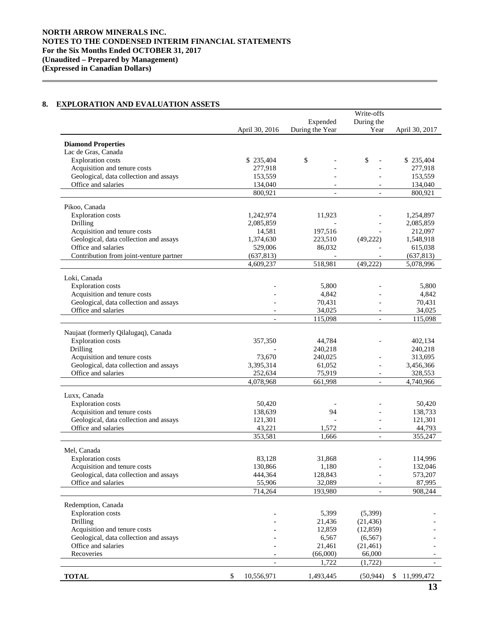# **8. EXPLORATION AND EVALUATION ASSETS**

|                                                                        |                  |                 | Write-offs               |                |
|------------------------------------------------------------------------|------------------|-----------------|--------------------------|----------------|
|                                                                        |                  | Expended        | During the               |                |
|                                                                        | April 30, 2016   | During the Year | Year                     | April 30, 2017 |
| <b>Diamond Properties</b>                                              |                  |                 |                          |                |
| Lac de Gras, Canada                                                    |                  |                 |                          |                |
| <b>Exploration</b> costs                                               | \$235,404        | \$              | \$                       | \$235,404      |
| Acquisition and tenure costs                                           | 277,918          |                 |                          | 277,918        |
| Geological, data collection and assays                                 | 153,559          |                 |                          | 153,559        |
| Office and salaries                                                    | 134,040          |                 |                          | 134,040        |
|                                                                        | 800,921          |                 | $\overline{\phantom{a}}$ | 800,921        |
| Pikoo, Canada                                                          |                  |                 |                          |                |
| <b>Exploration costs</b>                                               | 1,242,974        | 11,923          |                          | 1,254,897      |
| Drilling                                                               | 2,085,859        |                 |                          | 2,085,859      |
| Acquisition and tenure costs                                           | 14,581           | 197,516         |                          | 212,097        |
| Geological, data collection and assays                                 | 1,374,630        | 223,510         | (49,222)                 | 1,548,918      |
| Office and salaries                                                    | 529,006          | 86,032          |                          | 615,038        |
| Contribution from joint-venture partner                                | (637, 813)       |                 |                          | (637, 813)     |
|                                                                        | 4,609,237        | 518,981         | (49, 222)                | 5,078,996      |
|                                                                        |                  |                 |                          |                |
| Loki, Canada<br><b>Exploration costs</b>                               |                  | 5,800           |                          | 5,800          |
| Acquisition and tenure costs                                           |                  | 4,842           |                          | 4,842          |
| Geological, data collection and assays                                 |                  | 70,431          |                          | 70,431         |
| Office and salaries                                                    |                  | 34,025          |                          | 34,025         |
|                                                                        |                  | 115,098         |                          | 115,098        |
|                                                                        |                  |                 |                          |                |
| Naujaat (formerly Qilalugaq), Canada                                   |                  |                 |                          |                |
| <b>Exploration</b> costs                                               | 357,350          | 44,784          |                          | 402,134        |
| Drilling                                                               |                  | 240,218         |                          | 240,218        |
| Acquisition and tenure costs                                           | 73,670           | 240,025         |                          | 313,695        |
| Geological, data collection and assays                                 | 3,395,314        | 61,052          | $\overline{a}$           | 3,456,366      |
| Office and salaries                                                    | 252,634          | 75,919          | $\overline{\phantom{a}}$ | 328,553        |
|                                                                        | 4,078,968        | 661,998         | $\overline{\phantom{a}}$ | 4,740,966      |
| Luxx, Canada                                                           |                  |                 |                          |                |
| <b>Exploration costs</b>                                               | 50,420           |                 |                          | 50,420         |
| Acquisition and tenure costs                                           | 138,639          | 94              |                          | 138,733        |
| Geological, data collection and assays                                 | 121,301          |                 |                          | 121,301        |
| Office and salaries                                                    | 43,221           | 1,572           |                          | 44,793         |
|                                                                        | 353,581          | 1,666           | $\overline{a}$           | 355,247        |
| Mel, Canada                                                            |                  |                 |                          |                |
| <b>Exploration costs</b>                                               | 83,128           | 31,868          |                          | 114,996        |
| Acquisition and tenure costs                                           | 130,866          | 1,180           |                          | 132,046        |
| Geological, data collection and assays                                 | 444,364          | 128,843         |                          | 573,207        |
| Office and salaries                                                    | 55,906           | 32,089          |                          | 87,995         |
|                                                                        | 714,264          | 193,980         | $\overline{\phantom{a}}$ | 908,244        |
|                                                                        |                  |                 |                          |                |
| Redemption, Canada                                                     |                  |                 |                          |                |
| <b>Exploration</b> costs                                               |                  | 5,399           | (5,399)                  |                |
| Drilling                                                               |                  | 21,436          | (21, 436)                |                |
| Acquisition and tenure costs<br>Geological, data collection and assays |                  | 12,859<br>6,567 | (12, 859)<br>(6, 567)    |                |
| Office and salaries                                                    |                  | 21,461          | (21,461)                 |                |
| Recoveries                                                             |                  | (66,000)        | 66,000                   |                |
|                                                                        |                  | 1,722           | (1,722)                  |                |
|                                                                        |                  |                 |                          |                |
| <b>TOTAL</b>                                                           | \$<br>10,556,971 | 1,493,445       | (50, 944)                | \$ 11,999,472  |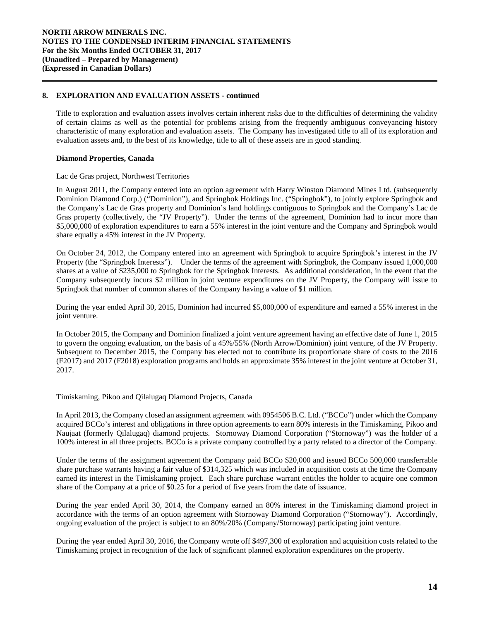Title to exploration and evaluation assets involves certain inherent risks due to the difficulties of determining the validity of certain claims as well as the potential for problems arising from the frequently ambiguous conveyancing history characteristic of many exploration and evaluation assets. The Company has investigated title to all of its exploration and evaluation assets and, to the best of its knowledge, title to all of these assets are in good standing.

### **Diamond Properties, Canada**

Lac de Gras project, Northwest Territories

In August 2011, the Company entered into an option agreement with Harry Winston Diamond Mines Ltd. (subsequently Dominion Diamond Corp.) ("Dominion"), and Springbok Holdings Inc. ("Springbok"), to jointly explore Springbok and the Company's Lac de Gras property and Dominion's land holdings contiguous to Springbok and the Company's Lac de Gras property (collectively, the "JV Property"). Under the terms of the agreement, Dominion had to incur more than \$5,000,000 of exploration expenditures to earn a 55% interest in the joint venture and the Company and Springbok would share equally a 45% interest in the JV Property.

On October 24, 2012, the Company entered into an agreement with Springbok to acquire Springbok's interest in the JV Property (the "Springbok Interests"). Under the terms of the agreement with Springbok, the Company issued 1,000,000 shares at a value of \$235,000 to Springbok for the Springbok Interests. As additional consideration, in the event that the Company subsequently incurs \$2 million in joint venture expenditures on the JV Property, the Company will issue to Springbok that number of common shares of the Company having a value of \$1 million.

During the year ended April 30, 2015, Dominion had incurred \$5,000,000 of expenditure and earned a 55% interest in the joint venture.

In October 2015, the Company and Dominion finalized a joint venture agreement having an effective date of June 1, 2015 to govern the ongoing evaluation, on the basis of a 45%/55% (North Arrow/Dominion) joint venture, of the JV Property. Subsequent to December 2015, the Company has elected not to contribute its proportionate share of costs to the 2016 (F2017) and 2017 (F2018) exploration programs and holds an approximate 35% interest in the joint venture at October 31, 2017.

### Timiskaming, Pikoo and Qilalugaq Diamond Projects, Canada

In April 2013, the Company closed an assignment agreement with 0954506 B.C. Ltd. ("BCCo") under which the Company acquired BCCo's interest and obligations in three option agreements to earn 80% interests in the Timiskaming, Pikoo and Naujaat (formerly Qilalugaq) diamond projects. Stornoway Diamond Corporation ("Stornoway") was the holder of a 100% interest in all three projects. BCCo is a private company controlled by a party related to a director of the Company.

Under the terms of the assignment agreement the Company paid BCCo \$20,000 and issued BCCo 500,000 transferrable share purchase warrants having a fair value of \$314,325 which was included in acquisition costs at the time the Company earned its interest in the Timiskaming project. Each share purchase warrant entitles the holder to acquire one common share of the Company at a price of \$0.25 for a period of five years from the date of issuance.

During the year ended April 30, 2014, the Company earned an 80% interest in the Timiskaming diamond project in accordance with the terms of an option agreement with Stornoway Diamond Corporation ("Stornoway"). Accordingly, ongoing evaluation of the project is subject to an 80%/20% (Company/Stornoway) participating joint venture.

During the year ended April 30, 2016, the Company wrote off \$497,300 of exploration and acquisition costs related to the Timiskaming project in recognition of the lack of significant planned exploration expenditures on the property.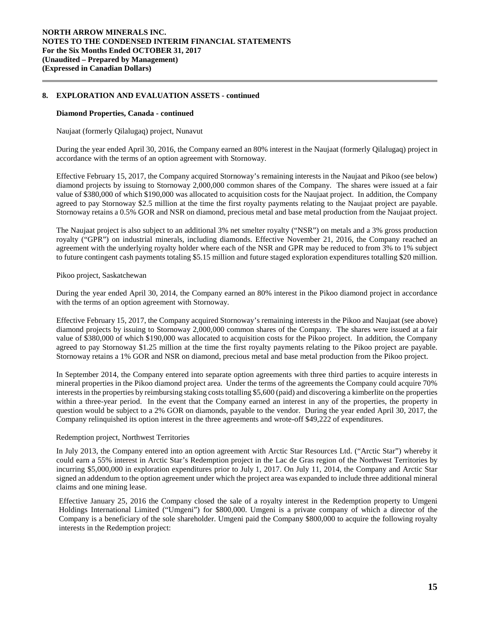#### **Diamond Properties, Canada - continued**

Naujaat (formerly Qilalugaq) project, Nunavut

During the year ended April 30, 2016, the Company earned an 80% interest in the Naujaat (formerly Qilalugaq) project in accordance with the terms of an option agreement with Stornoway.

Effective February 15, 2017, the Company acquired Stornoway's remaining interests in the Naujaat and Pikoo (see below) diamond projects by issuing to Stornoway 2,000,000 common shares of the Company. The shares were issued at a fair value of \$380,000 of which \$190,000 was allocated to acquisition costs for the Naujaat project. In addition, the Company agreed to pay Stornoway \$2.5 million at the time the first royalty payments relating to the Naujaat project are payable. Stornoway retains a 0.5% GOR and NSR on diamond, precious metal and base metal production from the Naujaat project.

The Naujaat project is also subject to an additional 3% net smelter royalty ("NSR") on metals and a 3% gross production royalty ("GPR") on industrial minerals, including diamonds. Effective November 21, 2016, the Company reached an agreement with the underlying royalty holder where each of the NSR and GPR may be reduced to from 3% to 1% subject to future contingent cash payments totaling \$5.15 million and future staged exploration expenditures totalling \$20 million.

### Pikoo project, Saskatchewan

During the year ended April 30, 2014, the Company earned an 80% interest in the Pikoo diamond project in accordance with the terms of an option agreement with Stornoway.

Effective February 15, 2017, the Company acquired Stornoway's remaining interests in the Pikoo and Naujaat (see above) diamond projects by issuing to Stornoway 2,000,000 common shares of the Company. The shares were issued at a fair value of \$380,000 of which \$190,000 was allocated to acquisition costs for the Pikoo project. In addition, the Company agreed to pay Stornoway \$1.25 million at the time the first royalty payments relating to the Pikoo project are payable. Stornoway retains a 1% GOR and NSR on diamond, precious metal and base metal production from the Pikoo project.

In September 2014, the Company entered into separate option agreements with three third parties to acquire interests in mineral properties in the Pikoo diamond project area. Under the terms of the agreements the Company could acquire 70% interests in the properties by reimbursing staking costs totalling \$5,600 (paid) and discovering a kimberlite on the properties within a three-year period. In the event that the Company earned an interest in any of the properties, the property in question would be subject to a 2% GOR on diamonds, payable to the vendor. During the year ended April 30, 2017, the Company relinquished its option interest in the three agreements and wrote-off \$49,222 of expenditures.

### Redemption project, Northwest Territories

In July 2013, the Company entered into an option agreement with Arctic Star Resources Ltd. ("Arctic Star") whereby it could earn a 55% interest in Arctic Star's Redemption project in the Lac de Gras region of the Northwest Territories by incurring \$5,000,000 in exploration expenditures prior to July 1, 2017. On July 11, 2014, the Company and Arctic Star signed an addendum to the option agreement under which the project area was expanded to include three additional mineral claims and one mining lease.

Effective January 25, 2016 the Company closed the sale of a royalty interest in the Redemption property to Umgeni Holdings International Limited ("Umgeni") for \$800,000. Umgeni is a private company of which a director of the Company is a beneficiary of the sole shareholder. Umgeni paid the Company \$800,000 to acquire the following royalty interests in the Redemption project: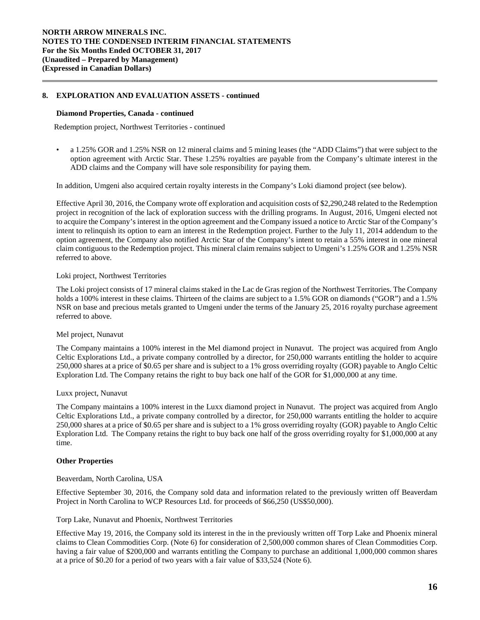#### **Diamond Properties, Canada - continued**

Redemption project, Northwest Territories - continued

• a 1.25% GOR and 1.25% NSR on 12 mineral claims and 5 mining leases (the "ADD Claims") that were subject to the option agreement with Arctic Star. These 1.25% royalties are payable from the Company's ultimate interest in the ADD claims and the Company will have sole responsibility for paying them.

In addition, Umgeni also acquired certain royalty interests in the Company's Loki diamond project (see below).

Effective April 30, 2016, the Company wrote off exploration and acquisition costs of \$2,290,248 related to the Redemption project in recognition of the lack of exploration success with the drilling programs. In August, 2016, Umgeni elected not to acquire the Company's interest in the option agreement and the Company issued a notice to Arctic Star of the Company's intent to relinquish its option to earn an interest in the Redemption project. Further to the July 11, 2014 addendum to the option agreement, the Company also notified Arctic Star of the Company's intent to retain a 55% interest in one mineral claim contiguous to the Redemption project. This mineral claim remains subject to Umgeni's 1.25% GOR and 1.25% NSR referred to above.

### Loki project, Northwest Territories

The Loki project consists of 17 mineral claims staked in the Lac de Gras region of the Northwest Territories. The Company holds a 100% interest in these claims. Thirteen of the claims are subject to a 1.5% GOR on diamonds ("GOR") and a 1.5% NSR on base and precious metals granted to Umgeni under the terms of the January 25, 2016 royalty purchase agreement referred to above.

#### Mel project, Nunavut

The Company maintains a 100% interest in the Mel diamond project in Nunavut. The project was acquired from Anglo Celtic Explorations Ltd., a private company controlled by a director, for 250,000 warrants entitling the holder to acquire 250,000 shares at a price of \$0.65 per share and is subject to a 1% gross overriding royalty (GOR) payable to Anglo Celtic Exploration Ltd. The Company retains the right to buy back one half of the GOR for \$1,000,000 at any time.

#### Luxx project, Nunavut

The Company maintains a 100% interest in the Luxx diamond project in Nunavut. The project was acquired from Anglo Celtic Explorations Ltd., a private company controlled by a director, for 250,000 warrants entitling the holder to acquire 250,000 shares at a price of \$0.65 per share and is subject to a 1% gross overriding royalty (GOR) payable to Anglo Celtic Exploration Ltd. The Company retains the right to buy back one half of the gross overriding royalty for \$1,000,000 at any time.

#### **Other Properties**

#### Beaverdam, North Carolina, USA

Effective September 30, 2016, the Company sold data and information related to the previously written off Beaverdam Project in North Carolina to WCP Resources Ltd. for proceeds of \$66,250 (US\$50,000).

#### Torp Lake, Nunavut and Phoenix, Northwest Territories

Effective May 19, 2016, the Company sold its interest in the in the previously written off Torp Lake and Phoenix mineral claims to Clean Commodities Corp. (Note 6) for consideration of 2,500,000 common shares of Clean Commodities Corp. having a fair value of \$200,000 and warrants entitling the Company to purchase an additional 1,000,000 common shares at a price of \$0.20 for a period of two years with a fair value of \$33,524 (Note 6).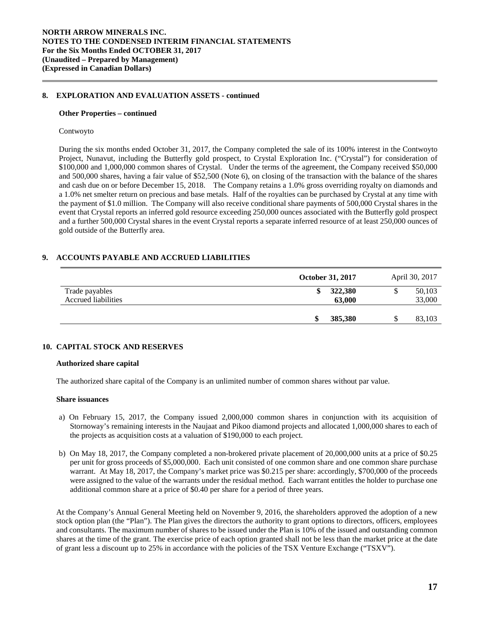#### **Other Properties – continued**

#### Contwoyto

During the six months ended October 31, 2017, the Company completed the sale of its 100% interest in the Contwoyto Project, Nunavut, including the Butterfly gold prospect, to Crystal Exploration Inc. ("Crystal") for consideration of \$100,000 and 1,000,000 common shares of Crystal. Under the terms of the agreement, the Company received \$50,000 and 500,000 shares, having a fair value of \$52,500 (Note 6), on closing of the transaction with the balance of the shares and cash due on or before December 15, 2018. The Company retains a 1.0% gross overriding royalty on diamonds and a 1.0% net smelter return on precious and base metals. Half of the royalties can be purchased by Crystal at any time with the payment of \$1.0 million. The Company will also receive conditional share payments of 500,000 Crystal shares in the event that Crystal reports an inferred gold resource exceeding 250,000 ounces associated with the Butterfly gold prospect and a further 500,000 Crystal shares in the event Crystal reports a separate inferred resource of at least 250,000 ounces of gold outside of the Butterfly area.

# **9. ACCOUNTS PAYABLE AND ACCRUED LIABILITIES**

|                                              | <b>October 31, 2017</b> | April 30, 2017        |
|----------------------------------------------|-------------------------|-----------------------|
| Trade payables<br><b>Accrued liabilities</b> | 322,380<br>ง<br>63,000  | 50,103<br>S<br>33,000 |
|                                              | 385,380<br>\$           | 83,103<br>S           |

### **10. CAPITAL STOCK AND RESERVES**

#### **Authorized share capital**

The authorized share capital of the Company is an unlimited number of common shares without par value.

### **Share issuances**

- a) On February 15, 2017, the Company issued 2,000,000 common shares in conjunction with its acquisition of Stornoway's remaining interests in the Naujaat and Pikoo diamond projects and allocated 1,000,000 shares to each of the projects as acquisition costs at a valuation of \$190,000 to each project.
- b) On May 18, 2017, the Company completed a non-brokered private placement of 20,000,000 units at a price of \$0.25 per unit for gross proceeds of \$5,000,000. Each unit consisted of one common share and one common share purchase warrant. At May 18, 2017, the Company's market price was \$0.215 per share: accordingly, \$700,000 of the proceeds were assigned to the value of the warrants under the residual method. Each warrant entitles the holder to purchase one additional common share at a price of \$0.40 per share for a period of three years.

At the Company's Annual General Meeting held on November 9, 2016, the shareholders approved the adoption of a new stock option plan (the "Plan"). The Plan gives the directors the authority to grant options to directors, officers, employees and consultants. The maximum number of shares to be issued under the Plan is 10% of the issued and outstanding common shares at the time of the grant. The exercise price of each option granted shall not be less than the market price at the date of grant less a discount up to 25% in accordance with the policies of the TSX Venture Exchange ("TSXV").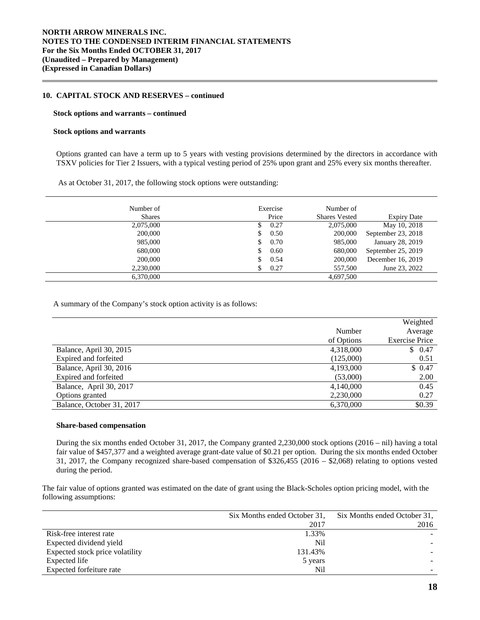### **10. CAPITAL STOCK AND RESERVES – continued**

#### **Stock options and warrants – continued**

#### **Stock options and warrants**

Options granted can have a term up to 5 years with vesting provisions determined by the directors in accordance with TSXV policies for Tier 2 Issuers, with a typical vesting period of 25% upon grant and 25% every six months thereafter.

As at October 31, 2017, the following stock options were outstanding:

| Number of     |    | Exercise | Number of            |                    |
|---------------|----|----------|----------------------|--------------------|
| <b>Shares</b> |    | Price    | <b>Shares Vested</b> | <b>Expiry Date</b> |
| 2,075,000     | S  | 0.27     | 2,075,000            | May 10, 2018       |
| 200,000       | S  | 0.50     | 200,000              | September 23, 2018 |
| 985,000       | S  | 0.70     | 985,000              | January 28, 2019   |
| 680,000       | \$ | 0.60     | 680,000              | September 25, 2019 |
| 200,000       | S  | 0.54     | 200,000              | December 16, 2019  |
| 2,230,000     |    | 0.27     | 557,500              | June 23, 2022      |
| 6.370,000     |    |          | 4,697,500            |                    |

A summary of the Company's stock option activity is as follows:

|                           |            | Weighted              |
|---------------------------|------------|-----------------------|
|                           | Number     | Average               |
|                           | of Options | <b>Exercise Price</b> |
| Balance, April 30, 2015   | 4,318,000  | \$0.47                |
| Expired and forfeited     | (125,000)  | 0.51                  |
| Balance, April 30, 2016   | 4,193,000  | \$0.47                |
| Expired and forfeited     | (53,000)   | 2.00                  |
| Balance, April 30, 2017   | 4,140,000  | 0.45                  |
| Options granted           | 2,230,000  | 0.27                  |
| Balance, October 31, 2017 | 6,370,000  | \$0.39                |

#### **Share-based compensation**

During the six months ended October 31, 2017, the Company granted 2,230,000 stock options (2016 – nil) having a total fair value of \$457,377 and a weighted average grant-date value of \$0.21 per option. During the six months ended October 31, 2017, the Company recognized share-based compensation of \$326,455 (2016 – \$2,068) relating to options vested during the period.

The fair value of options granted was estimated on the date of grant using the Black-Scholes option pricing model, with the following assumptions:

|                                 | Six Months ended October 31, | Six Months ended October 31. |
|---------------------------------|------------------------------|------------------------------|
|                                 | 2017                         | 2016                         |
| Risk-free interest rate         | 1.33%                        |                              |
| Expected dividend yield         | N <sub>i</sub>               |                              |
| Expected stock price volatility | 131.43%                      |                              |
| Expected life                   | 5 years                      |                              |
| Expected forfeiture rate        | Nil                          |                              |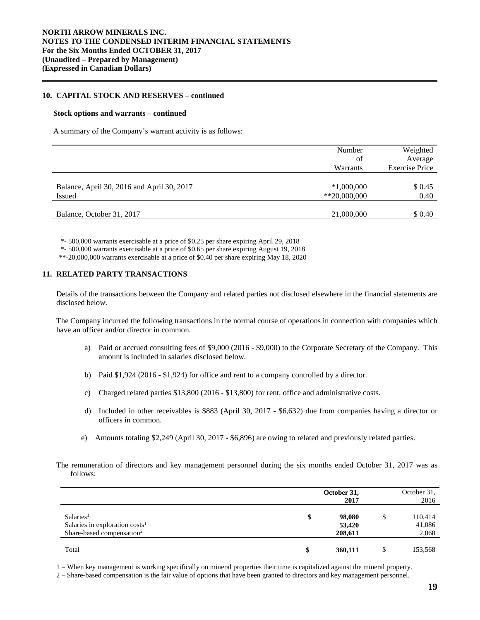### **10. CAPITAL STOCK AND RESERVES – continued**

#### **Stock options and warrants – continued**

A summary of the Company's warrant activity is as follows:

|                                                             | Number<br>of<br>Warrants      | Weighted<br>Average<br><b>Exercise Price</b> |
|-------------------------------------------------------------|-------------------------------|----------------------------------------------|
| Balance, April 30, 2016 and April 30, 2017<br><b>Issued</b> | $*1,000,000$<br>$*20,000,000$ | \$ 0.45<br>0.40                              |
| Balance, October 31, 2017                                   | 21,000,000                    | \$ 0.40                                      |

\*- 500,000 warrants exercisable at a price of \$0.25 per share expiring April 29, 2018

\*- 500,000 warrants exercisable at a price of \$0.65 per share expiring August 19, 2018

\*\*-20,000,000 warrants exercisable at a price of \$0.40 per share expiring May 18, 2020

### **11. RELATED PARTY TRANSACTIONS**

Details of the transactions between the Company and related parties not disclosed elsewhere in the financial statements are disclosed below.

The Company incurred the following transactions in the normal course of operations in connection with companies which have an officer and/or director in common.

- a) Paid or accrued consulting fees of \$9,000 (2016 \$9,000) to the Corporate Secretary of the Company. This amount is included in salaries disclosed below.
- b) Paid \$1,924 (2016 \$1,924) for office and rent to a company controlled by a director.
- c) Charged related parties \$13,800 (2016 \$13,800) for rent, office and administrative costs.
- d) Included in other receivables is \$883 (April 30, 2017 \$6,632) due from companies having a director or officers in common.
- e) Amounts totaling \$2,249 (April 30, 2017 \$6,896) are owing to related and previously related parties.
- The remuneration of directors and key management personnel during the six months ended October 31, 2017 was as follows:

|                                                                                                              |    | October 31,<br>2017         | October 31,<br>2016              |
|--------------------------------------------------------------------------------------------------------------|----|-----------------------------|----------------------------------|
| Salaries <sup>1</sup><br>Salaries in exploration costs <sup>1</sup><br>Share-based compensation <sup>2</sup> | \$ | 98,080<br>53,420<br>208.611 | \$<br>110,414<br>41,086<br>2,068 |
| Total                                                                                                        | Φ  | 360,111                     | 153,568                          |

1 – When key management is working specifically on mineral properties their time is capitalized against the mineral property.

2 – Share-based compensation is the fair value of options that have been granted to directors and key management personnel.